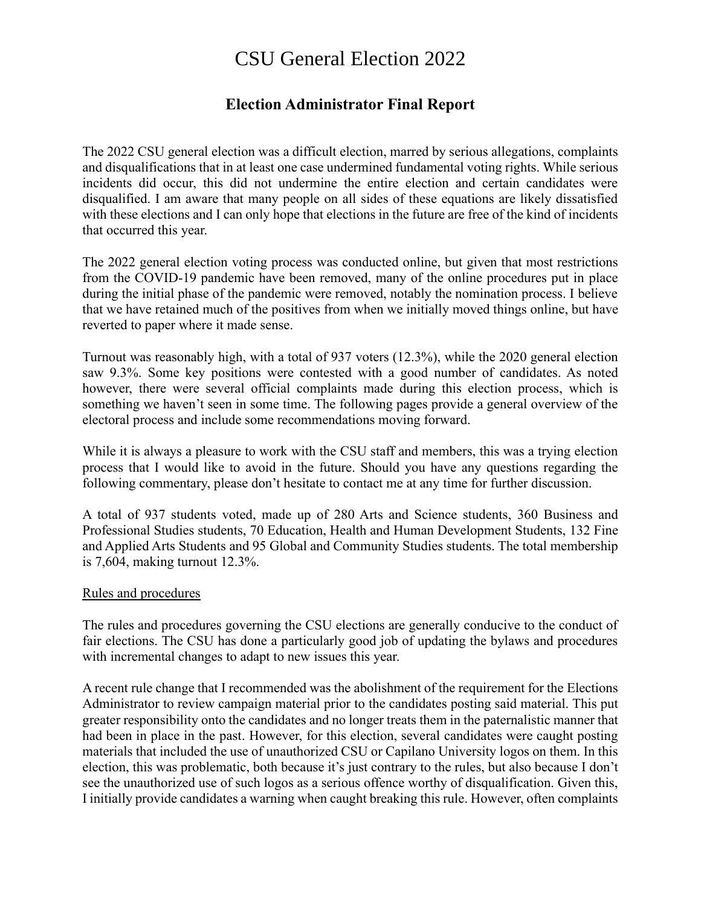# CSU General Election 2022

# **Election Administrator Final Report**

The 2022 CSU general election was a difficult election, marred by serious allegations, complaints and disqualifications that in at least one case undermined fundamental voting rights. While serious incidents did occur, this did not undermine the entire election and certain candidates were disqualified. I am aware that many people on all sides of these equations are likely dissatisfied with these elections and I can only hope that elections in the future are free of the kind of incidents that occurred this year.

The 2022 general election voting process was conducted online, but given that most restrictions from the COVID-19 pandemic have been removed, many of the online procedures put in place during the initial phase of the pandemic were removed, notably the nomination process. I believe that we have retained much of the positives from when we initially moved things online, but have reverted to paper where it made sense.

Turnout was reasonably high, with a total of 937 voters (12.3%), while the 2020 general election saw 9.3%. Some key positions were contested with a good number of candidates. As noted however, there were several official complaints made during this election process, which is something we haven't seen in some time. The following pages provide a general overview of the electoral process and include some recommendations moving forward.

While it is always a pleasure to work with the CSU staff and members, this was a trying election process that I would like to avoid in the future. Should you have any questions regarding the following commentary, please don't hesitate to contact me at any time for further discussion.

A total of 937 students voted, made up of 280 Arts and Science students, 360 Business and Professional Studies students, 70 Education, Health and Human Development Students, 132 Fine and Applied Arts Students and 95 Global and Community Studies students. The total membership is 7,604, making turnout 12.3%.

#### Rules and procedures

The rules and procedures governing the CSU elections are generally conducive to the conduct of fair elections. The CSU has done a particularly good job of updating the bylaws and procedures with incremental changes to adapt to new issues this year.

A recent rule change that I recommended was the abolishment of the requirement for the Elections Administrator to review campaign material prior to the candidates posting said material. This put greater responsibility onto the candidates and no longer treats them in the paternalistic manner that had been in place in the past. However, for this election, several candidates were caught posting materials that included the use of unauthorized CSU or Capilano University logos on them. In this election, this was problematic, both because it's just contrary to the rules, but also because I don't see the unauthorized use of such logos as a serious offence worthy of disqualification. Given this, I initially provide candidates a warning when caught breaking this rule. However, often complaints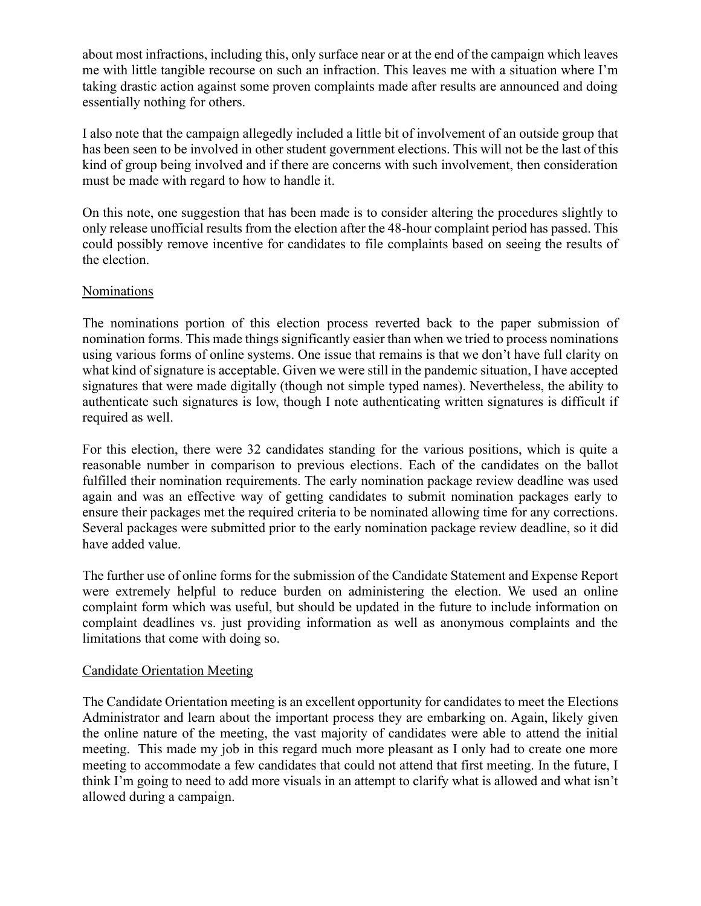about most infractions, including this, only surface near or at the end of the campaign which leaves me with little tangible recourse on such an infraction. This leaves me with a situation where I'm taking drastic action against some proven complaints made after results are announced and doing essentially nothing for others.

I also note that the campaign allegedly included a little bit of involvement of an outside group that has been seen to be involved in other student government elections. This will not be the last of this kind of group being involved and if there are concerns with such involvement, then consideration must be made with regard to how to handle it.

On this note, one suggestion that has been made is to consider altering the procedures slightly to only release unofficial results from the election after the 48-hour complaint period has passed. This could possibly remove incentive for candidates to file complaints based on seeing the results of the election.

## Nominations

The nominations portion of this election process reverted back to the paper submission of nomination forms. This made things significantly easier than when we tried to process nominations using various forms of online systems. One issue that remains is that we don't have full clarity on what kind of signature is acceptable. Given we were still in the pandemic situation, I have accepted signatures that were made digitally (though not simple typed names). Nevertheless, the ability to authenticate such signatures is low, though I note authenticating written signatures is difficult if required as well.

For this election, there were 32 candidates standing for the various positions, which is quite a reasonable number in comparison to previous elections. Each of the candidates on the ballot fulfilled their nomination requirements. The early nomination package review deadline was used again and was an effective way of getting candidates to submit nomination packages early to ensure their packages met the required criteria to be nominated allowing time for any corrections. Several packages were submitted prior to the early nomination package review deadline, so it did have added value.

The further use of online forms for the submission of the Candidate Statement and Expense Report were extremely helpful to reduce burden on administering the election. We used an online complaint form which was useful, but should be updated in the future to include information on complaint deadlines vs. just providing information as well as anonymous complaints and the limitations that come with doing so.

## Candidate Orientation Meeting

The Candidate Orientation meeting is an excellent opportunity for candidates to meet the Elections Administrator and learn about the important process they are embarking on. Again, likely given the online nature of the meeting, the vast majority of candidates were able to attend the initial meeting. This made my job in this regard much more pleasant as I only had to create one more meeting to accommodate a few candidates that could not attend that first meeting. In the future, I think I'm going to need to add more visuals in an attempt to clarify what is allowed and what isn't allowed during a campaign.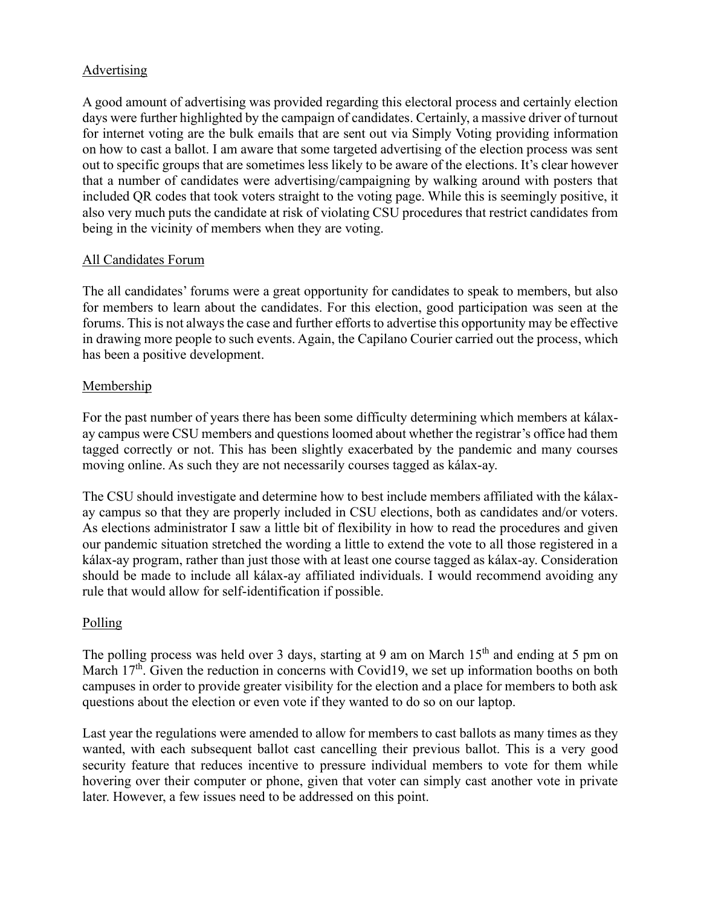## Advertising

A good amount of advertising was provided regarding this electoral process and certainly election days were further highlighted by the campaign of candidates. Certainly, a massive driver of turnout for internet voting are the bulk emails that are sent out via Simply Voting providing information on how to cast a ballot. I am aware that some targeted advertising of the election process was sent out to specific groups that are sometimes less likely to be aware of the elections. It's clear however that a number of candidates were advertising/campaigning by walking around with posters that included QR codes that took voters straight to the voting page. While this is seemingly positive, it also very much puts the candidate at risk of violating CSU procedures that restrict candidates from being in the vicinity of members when they are voting.

## All Candidates Forum

The all candidates' forums were a great opportunity for candidates to speak to members, but also for members to learn about the candidates. For this election, good participation was seen at the forums. This is not always the case and further efforts to advertise this opportunity may be effective in drawing more people to such events. Again, the Capilano Courier carried out the process, which has been a positive development.

## Membership

For the past number of years there has been some difficulty determining which members at kálaxay campus were CSU members and questions loomed about whether the registrar's office had them tagged correctly or not. This has been slightly exacerbated by the pandemic and many courses moving online. As such they are not necessarily courses tagged as kálax-ay.

The CSU should investigate and determine how to best include members affiliated with the kálaxay campus so that they are properly included in CSU elections, both as candidates and/or voters. As elections administrator I saw a little bit of flexibility in how to read the procedures and given our pandemic situation stretched the wording a little to extend the vote to all those registered in a kálax-ay program, rather than just those with at least one course tagged as kálax-ay. Consideration should be made to include all kálax-ay affiliated individuals. I would recommend avoiding any rule that would allow for self-identification if possible.

## Polling

The polling process was held over 3 days, starting at 9 am on March 15<sup>th</sup> and ending at 5 pm on March 17<sup>th</sup>. Given the reduction in concerns with Covid19, we set up information booths on both campuses in order to provide greater visibility for the election and a place for members to both ask questions about the election or even vote if they wanted to do so on our laptop.

Last year the regulations were amended to allow for members to cast ballots as many times as they wanted, with each subsequent ballot cast cancelling their previous ballot. This is a very good security feature that reduces incentive to pressure individual members to vote for them while hovering over their computer or phone, given that voter can simply cast another vote in private later. However, a few issues need to be addressed on this point.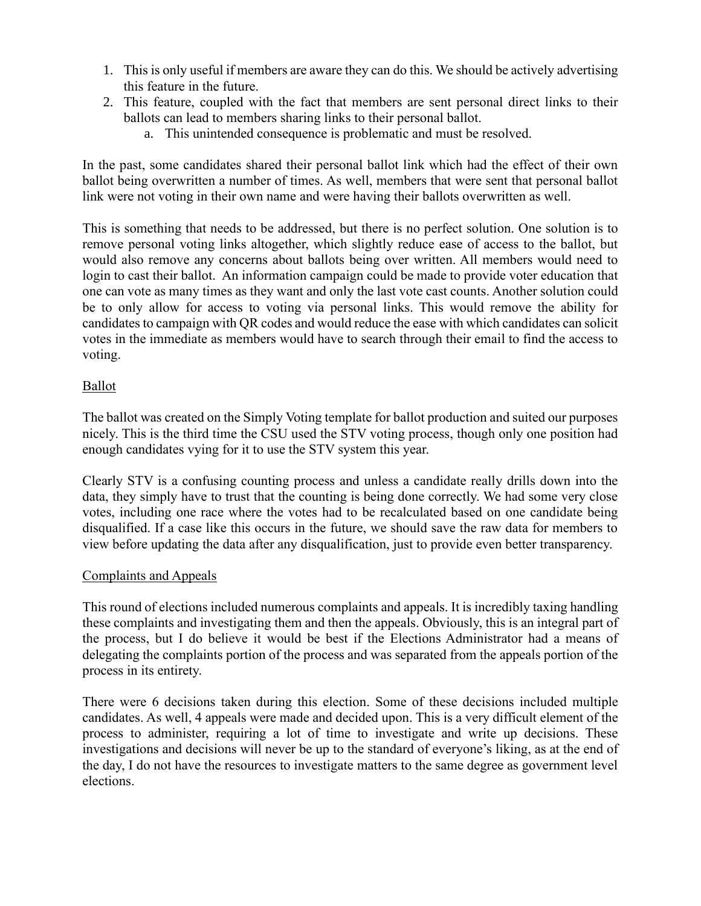- 1. This is only useful if members are aware they can do this. We should be actively advertising this feature in the future.
- 2. This feature, coupled with the fact that members are sent personal direct links to their ballots can lead to members sharing links to their personal ballot.
	- a. This unintended consequence is problematic and must be resolved.

In the past, some candidates shared their personal ballot link which had the effect of their own ballot being overwritten a number of times. As well, members that were sent that personal ballot link were not voting in their own name and were having their ballots overwritten as well.

This is something that needs to be addressed, but there is no perfect solution. One solution is to remove personal voting links altogether, which slightly reduce ease of access to the ballot, but would also remove any concerns about ballots being over written. All members would need to login to cast their ballot. An information campaign could be made to provide voter education that one can vote as many times as they want and only the last vote cast counts. Another solution could be to only allow for access to voting via personal links. This would remove the ability for candidates to campaign with QR codes and would reduce the ease with which candidates can solicit votes in the immediate as members would have to search through their email to find the access to voting.

## Ballot

The ballot was created on the Simply Voting template for ballot production and suited our purposes nicely. This is the third time the CSU used the STV voting process, though only one position had enough candidates vying for it to use the STV system this year.

Clearly STV is a confusing counting process and unless a candidate really drills down into the data, they simply have to trust that the counting is being done correctly. We had some very close votes, including one race where the votes had to be recalculated based on one candidate being disqualified. If a case like this occurs in the future, we should save the raw data for members to view before updating the data after any disqualification, just to provide even better transparency.

## Complaints and Appeals

This round of elections included numerous complaints and appeals. It is incredibly taxing handling these complaints and investigating them and then the appeals. Obviously, this is an integral part of the process, but I do believe it would be best if the Elections Administrator had a means of delegating the complaints portion of the process and was separated from the appeals portion of the process in its entirety.

There were 6 decisions taken during this election. Some of these decisions included multiple candidates. As well, 4 appeals were made and decided upon. This is a very difficult element of the process to administer, requiring a lot of time to investigate and write up decisions. These investigations and decisions will never be up to the standard of everyone's liking, as at the end of the day, I do not have the resources to investigate matters to the same degree as government level elections.